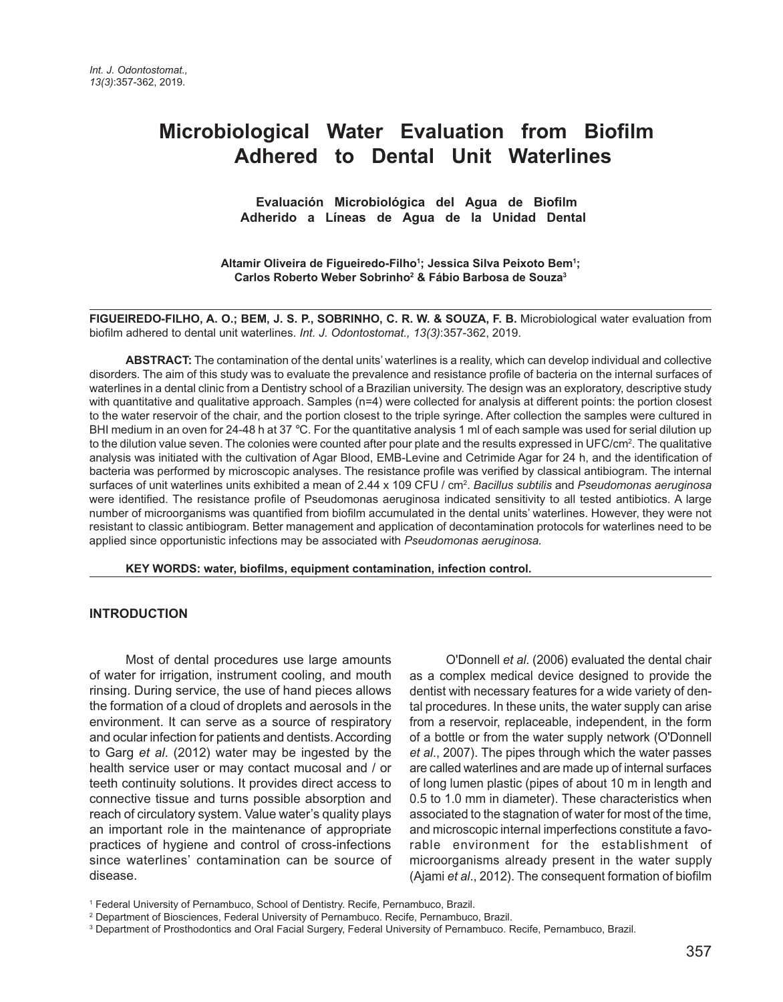# **Microbiological Water Evaluation from Biofilm Adhered to Dental Unit Waterlines**

 **Evaluación Microbiológica del Agua de Biofilm Adherido a Líneas de Agua de la Unidad Dental** 

**Altamir Oliveira de Figueiredo-Filho1 ; Jessica Silva Peixoto Bem1 ; Carlos Roberto Weber Sobrinho2 & Fábio Barbosa de Souza3**

**FIGUEIREDO-FILHO, A. O.; BEM, J. S. P., SOBRINHO, C. R. W. & SOUZA, F. B.** Microbiological water evaluation from biofilm adhered to dental unit waterlines. *Int. J. Odontostomat., 13(3)*:357-362, 2019.

**ABSTRACT:** The contamination of the dental units' waterlines is a reality, which can develop individual and collective disorders. The aim of this study was to evaluate the prevalence and resistance profile of bacteria on the internal surfaces of waterlines in a dental clinic from a Dentistry school of a Brazilian university. The design was an exploratory, descriptive study with quantitative and qualitative approach. Samples (n=4) were collected for analysis at different points: the portion closest to the water reservoir of the chair, and the portion closest to the triple syringe. After collection the samples were cultured in BHI medium in an oven for 24-48 h at 37 °C. For the quantitative analysis 1 ml of each sample was used for serial dilution up to the dilution value seven. The colonies were counted after pour plate and the results expressed in UFC/cm². The qualitative analysis was initiated with the cultivation of Agar Blood, EMB-Levine and Cetrimide Agar for 24 h, and the identification of bacteria was performed by microscopic analyses. The resistance profile was verified by classical antibiogram. The internal surfaces of unit waterlines units exhibited a mean of 2.44 x 109 CFU / cm2 . *Bacillus subtilis* and *Pseudomonas aeruginosa* were identified. The resistance profile of Pseudomonas aeruginosa indicated sensitivity to all tested antibiotics. A large number of microorganisms was quantified from biofilm accumulated in the dental units' waterlines. However, they were not resistant to classic antibiogram. Better management and application of decontamination protocols for waterlines need to be applied since opportunistic infections may be associated with *Pseudomonas aeruginosa.*

**KEY WORDS: water, biofilms, equipment contamination, infection control.**

#### **INTRODUCTION**

Most of dental procedures use large amounts of water for irrigation, instrument cooling, and mouth rinsing. During service, the use of hand pieces allows the formation of a cloud of droplets and aerosols in the environment. It can serve as a source of respiratory and ocular infection for patients and dentists. According to Garg *et al*. (2012) water may be ingested by the health service user or may contact mucosal and / or teeth continuity solutions. It provides direct access to connective tissue and turns possible absorption and reach of circulatory system. Value water's quality plays an important role in the maintenance of appropriate practices of hygiene and control of cross-infections since waterlines' contamination can be source of disease.

O'Donnell *et al*. (2006) evaluated the dental chair as a complex medical device designed to provide the dentist with necessary features for a wide variety of dental procedures. In these units, the water supply can arise from a reservoir, replaceable, independent, in the form of a bottle or from the water supply network (O'Donnell *et al*., 2007). The pipes through which the water passes are called waterlines and are made up of internal surfaces of long lumen plastic (pipes of about 10 m in length and 0.5 to 1.0 mm in diameter). These characteristics when associated to the stagnation of water for most of the time, and microscopic internal imperfections constitute a favorable environment for the establishment of microorganisms already present in the water supply (Ajami *et al*., 2012). The consequent formation of biofilm

<sup>1</sup> Federal University of Pernambuco, School of Dentistry. Recife, Pernambuco, Brazil.

<sup>2</sup> Department of Biosciences, Federal University of Pernambuco. Recife, Pernambuco, Brazil.

<sup>3</sup> Department of Prosthodontics and Oral Facial Surgery, Federal University of Pernambuco. Recife, Pernambuco, Brazil.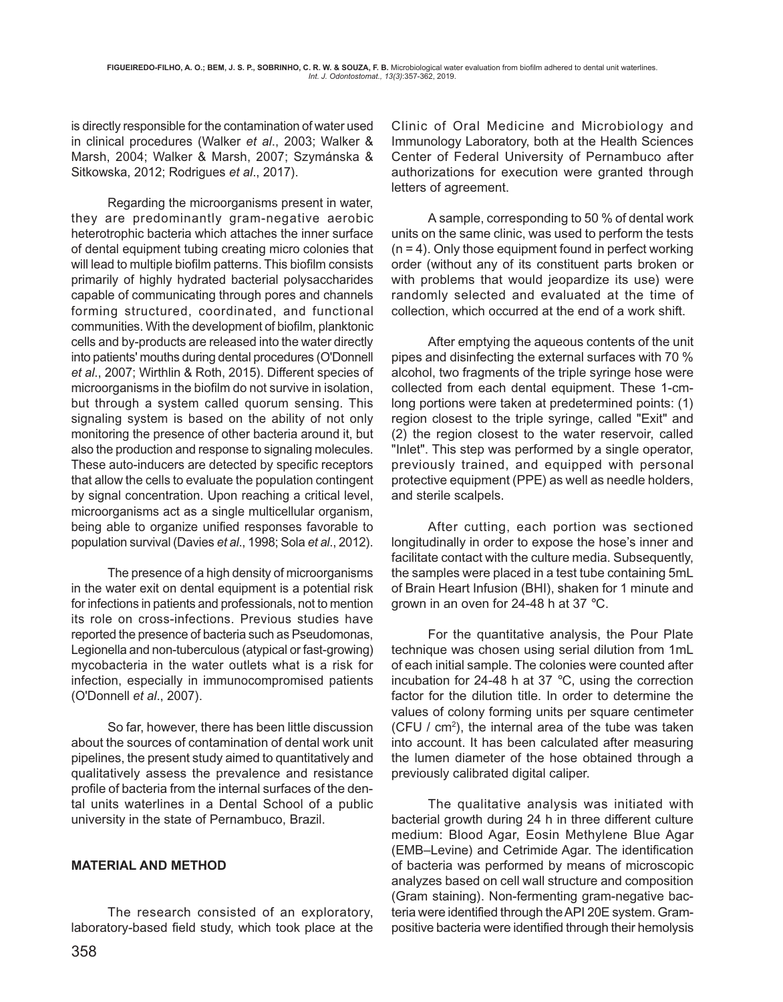is directly responsible for the contamination of water used in clinical procedures (Walker *et al*., 2003; Walker & Marsh, 2004; Walker & Marsh, 2007; Szymánska & Sitkowska, 2012; Rodrigues *et al*., 2017).

Regarding the microorganisms present in water, they are predominantly gram-negative aerobic heterotrophic bacteria which attaches the inner surface of dental equipment tubing creating micro colonies that will lead to multiple biofilm patterns. This biofilm consists primarily of highly hydrated bacterial polysaccharides capable of communicating through pores and channels forming structured, coordinated, and functional communities. With the development of biofilm, planktonic cells and by-products are released into the water directly into patients' mouths during dental procedures (O'Donnell *et al*., 2007; Wirthlin & Roth, 2015). Different species of microorganisms in the biofilm do not survive in isolation, but through a system called quorum sensing. This signaling system is based on the ability of not only monitoring the presence of other bacteria around it, but also the production and response to signaling molecules. These auto-inducers are detected by specific receptors that allow the cells to evaluate the population contingent by signal concentration. Upon reaching a critical level, microorganisms act as a single multicellular organism, being able to organize unified responses favorable to population survival (Davies *et al*., 1998; Sola *et al*., 2012).

The presence of a high density of microorganisms in the water exit on dental equipment is a potential risk for infections in patients and professionals, not to mention its role on cross-infections. Previous studies have reported the presence of bacteria such as Pseudomonas, Legionella and non-tuberculous (atypical or fast-growing) mycobacteria in the water outlets what is a risk for infection, especially in immunocompromised patients (O'Donnell *et al*., 2007).

 So far, however, there has been little discussion about the sources of contamination of dental work unit pipelines, the present study aimed to quantitatively and qualitatively assess the prevalence and resistance profile of bacteria from the internal surfaces of the dental units waterlines in a Dental School of a public university in the state of Pernambuco, Brazil.

#### **MATERIAL AND METHOD**

The research consisted of an exploratory, laboratory-based field study, which took place at the Clinic of Oral Medicine and Microbiology and Immunology Laboratory, both at the Health Sciences Center of Federal University of Pernambuco after authorizations for execution were granted through letters of agreement.

A sample, corresponding to 50 % of dental work units on the same clinic, was used to perform the tests  $(n = 4)$ . Only those equipment found in perfect working order (without any of its constituent parts broken or with problems that would jeopardize its use) were randomly selected and evaluated at the time of collection, which occurred at the end of a work shift.

After emptying the aqueous contents of the unit pipes and disinfecting the external surfaces with 70 % alcohol, two fragments of the triple syringe hose were collected from each dental equipment. These 1-cmlong portions were taken at predetermined points: (1) region closest to the triple syringe, called "Exit" and (2) the region closest to the water reservoir, called "Inlet". This step was performed by a single operator, previously trained, and equipped with personal protective equipment (PPE) as well as needle holders, and sterile scalpels.

After cutting, each portion was sectioned longitudinally in order to expose the hose's inner and facilitate contact with the culture media. Subsequently, the samples were placed in a test tube containing 5mL of Brain Heart Infusion (BHI), shaken for 1 minute and grown in an oven for 24-48 h at 37 °C.

For the quantitative analysis, the Pour Plate technique was chosen using serial dilution from 1mL of each initial sample. The colonies were counted after incubation for 24-48 h at 37 °C, using the correction factor for the dilution title. In order to determine the values of colony forming units per square centimeter (CFU /  $cm<sup>2</sup>$ ), the internal area of the tube was taken into account. It has been calculated after measuring the lumen diameter of the hose obtained through a previously calibrated digital caliper.

The qualitative analysis was initiated with bacterial growth during 24 h in three different culture medium: Blood Agar, Eosin Methylene Blue Agar (EMB–Levine) and Cetrimide Agar. The identification of bacteria was performed by means of microscopic analyzes based on cell wall structure and composition (Gram staining). Non-fermenting gram-negative bacteria were identified through the API 20E system. Grampositive bacteria were identified through their hemolysis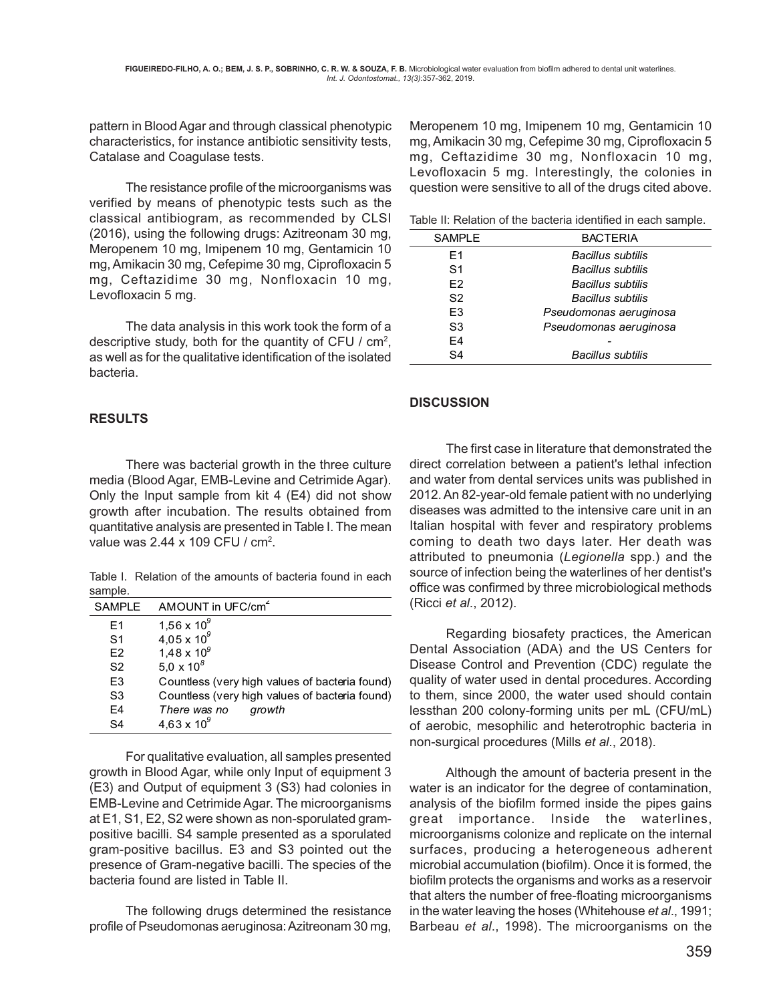pattern in Blood Agar and through classical phenotypic characteristics, for instance antibiotic sensitivity tests, Catalase and Coagulase tests.

The resistance profile of the microorganisms was verified by means of phenotypic tests such as the classical antibiogram, as recommended by CLSI (2016), using the following drugs: Azitreonam 30 mg, Meropenem 10 mg, Imipenem 10 mg, Gentamicin 10 mg, Amikacin 30 mg, Cefepime 30 mg, Ciprofloxacin 5 mg, Ceftazidime 30 mg, Nonfloxacin 10 mg, Levofloxacin 5 mg.

The data analysis in this work took the form of a descriptive study, both for the quantity of CFU /  $cm<sup>2</sup>$ , as well as for the qualitative identification of the isolated bacteria.

### **RESULTS**

There was bacterial growth in the three culture media (Blood Agar, EMB-Levine and Cetrimide Agar). Only the Input sample from kit 4 (E4) did not show growth after incubation. The results obtained from quantitative analysis are presented in Table I. The mean value was 2.44 x 109 CFU / cm<sup>2</sup>.

Table I. Relation of the amounts of bacteria found in each sample.

| <b>SAMPLE</b>  | AMOUNT in UFC/cm <sup>2</sup>                  |
|----------------|------------------------------------------------|
| F <sub>1</sub> | $1,56 \times 10^{9}$                           |
| S1             | $4,05 \times 10^{9}$                           |
| F <sub>2</sub> | $1,48 \times 10^{9}$                           |
| S <sub>2</sub> | 5,0 x $10^8$                                   |
| E <sub>3</sub> | Countless (very high values of bacteria found) |
| S <sub>3</sub> | Countless (very high values of bacteria found) |
| F4             | There was no<br>growth                         |
| S <sub>4</sub> | $4,63 \times 10^{9}$                           |

For qualitative evaluation, all samples presented growth in Blood Agar, while only Input of equipment 3 (E3) and Output of equipment 3 (S3) had colonies in EMB-Levine and Cetrimide Agar. The microorganisms at E1, S1, E2, S2 were shown as non-sporulated grampositive bacilli. S4 sample presented as a sporulated gram-positive bacillus. E3 and S3 pointed out the presence of Gram-negative bacilli. The species of the bacteria found are listed in Table II.

The following drugs determined the resistance profile of Pseudomonas aeruginosa: Azitreonam 30 mg,

Meropenem 10 mg, Imipenem 10 mg, Gentamicin 10 mg, Amikacin 30 mg, Cefepime 30 mg, Ciprofloxacin 5 mg, Ceftazidime 30 mg, Nonfloxacin 10 mg, Levofloxacin 5 mg. Interestingly, the colonies in question were sensitive to all of the drugs cited above.

Table II: Relation of the bacteria identified in each sample.

| <b>SAMPLE</b> | <b>BACTERIA</b>        |
|---------------|------------------------|
| F1            | Bacillus subtilis      |
| S1            | Bacillus subtilis      |
| F2            | Bacillus subtilis      |
| S2            | Bacillus subtilis      |
| F3            | Pseudomonas aeruginosa |
| S3            | Pseudomonas aeruginosa |
| F4            |                        |
| S4            | Bacillus subtilis      |
|               |                        |

### **DISCUSSION**

The first case in literature that demonstrated the direct correlation between a patient's lethal infection and water from dental services units was published in 2012. An 82-year-old female patient with no underlying diseases was admitted to the intensive care unit in an Italian hospital with fever and respiratory problems coming to death two days later. Her death was attributed to pneumonia (*Legionella* spp.) and the source of infection being the waterlines of her dentist's office was confirmed by three microbiological methods (Ricci *et al*., 2012).

Regarding biosafety practices, the American Dental Association (ADA) and the US Centers for Disease Control and Prevention (CDC) regulate the quality of water used in dental procedures. According to them, since 2000, the water used should contain lessthan 200 colony-forming units per mL (CFU/mL) of aerobic, mesophilic and heterotrophic bacteria in non-surgical procedures (Mills *et al*., 2018).

Although the amount of bacteria present in the water is an indicator for the degree of contamination, analysis of the biofilm formed inside the pipes gains great importance. Inside the waterlines, microorganisms colonize and replicate on the internal surfaces, producing a heterogeneous adherent microbial accumulation (biofilm). Once it is formed, the biofilm protects the organisms and works as a reservoir that alters the number of free-floating microorganisms in the water leaving the hoses (Whitehouse *et al*., 1991; Barbeau *et al*., 1998). The microorganisms on the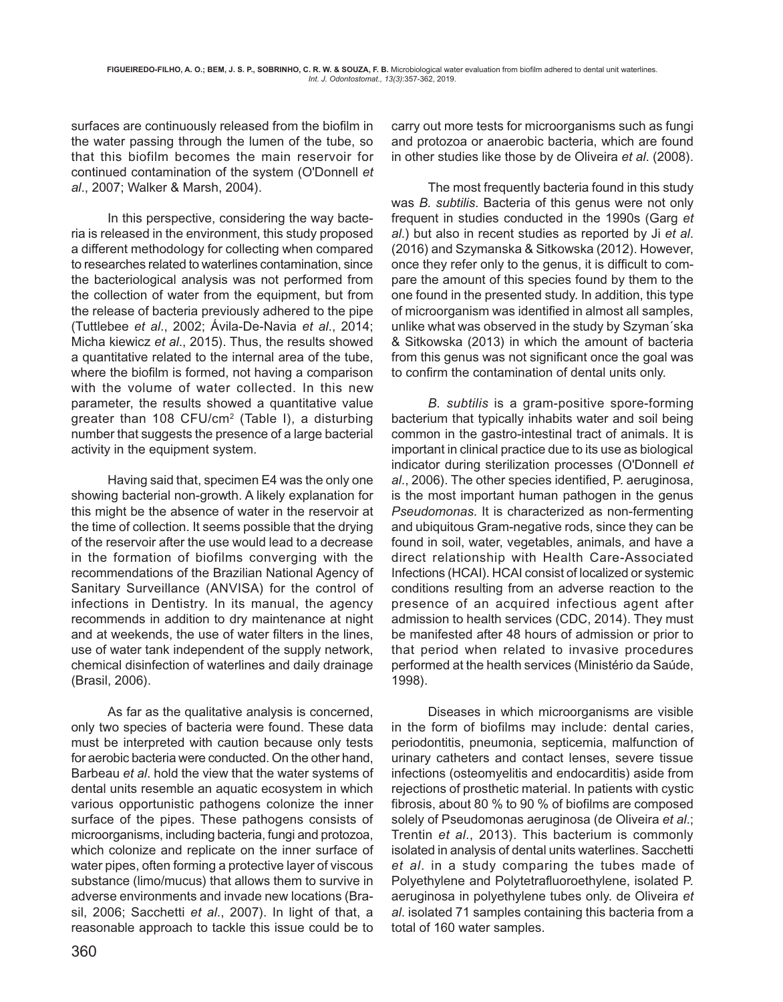surfaces are continuously released from the biofilm in the water passing through the lumen of the tube, so that this biofilm becomes the main reservoir for continued contamination of the system (O'Donnell *et al*., 2007; Walker & Marsh, 2004).

In this perspective, considering the way bacteria is released in the environment, this study proposed a different methodology for collecting when compared to researches related to waterlines contamination, since the bacteriological analysis was not performed from the collection of water from the equipment, but from the release of bacteria previously adhered to the pipe (Tuttlebee *et al*., 2002; Ávila-De-Navia *et al*., 2014; Micha kiewicz *et al*., 2015). Thus, the results showed a quantitative related to the internal area of the tube, where the biofilm is formed, not having a comparison with the volume of water collected. In this new parameter, the results showed a quantitative value greater than 108 CFU/cm<sup>2</sup> (Table I), a disturbing number that suggests the presence of a large bacterial activity in the equipment system.

Having said that, specimen E4 was the only one showing bacterial non-growth. A likely explanation for this might be the absence of water in the reservoir at the time of collection. It seems possible that the drying of the reservoir after the use would lead to a decrease in the formation of biofilms converging with the recommendations of the Brazilian National Agency of Sanitary Surveillance (ANVISA) for the control of infections in Dentistry. In its manual, the agency recommends in addition to dry maintenance at night and at weekends, the use of water filters in the lines, use of water tank independent of the supply network, chemical disinfection of waterlines and daily drainage (Brasil, 2006).

As far as the qualitative analysis is concerned, only two species of bacteria were found. These data must be interpreted with caution because only tests for aerobic bacteria were conducted. On the other hand, Barbeau *et al*. hold the view that the water systems of dental units resemble an aquatic ecosystem in which various opportunistic pathogens colonize the inner surface of the pipes. These pathogens consists of microorganisms, including bacteria, fungi and protozoa, which colonize and replicate on the inner surface of water pipes, often forming a protective layer of viscous substance (limo/mucus) that allows them to survive in adverse environments and invade new locations (Brasil, 2006; Sacchetti *et al*., 2007). In light of that, a reasonable approach to tackle this issue could be to

carry out more tests for microorganisms such as fungi and protozoa or anaerobic bacteria, which are found in other studies like those by de Oliveira *et al*. (2008).

The most frequently bacteria found in this study was *B. subtilis*. Bacteria of this genus were not only frequent in studies conducted in the 1990s (Garg *et al*.) but also in recent studies as reported by Ji *et al*. (2016) and Szymanska & Sitkowska (2012). However, once they refer only to the genus, it is difficult to compare the amount of this species found by them to the one found in the presented study. In addition, this type of microorganism was identified in almost all samples, unlike what was observed in the study by Szyman´ska & Sitkowska (2013) in which the amount of bacteria from this genus was not significant once the goal was to confirm the contamination of dental units only.

*B. subtilis* is a gram-positive spore-forming bacterium that typically inhabits water and soil being common in the gastro-intestinal tract of animals. It is important in clinical practice due to its use as biological indicator during sterilization processes (O'Donnell *et al*., 2006). The other species identified, P. aeruginosa, is the most important human pathogen in the genus *Pseudomonas*. It is characterized as non-fermenting and ubiquitous Gram-negative rods, since they can be found in soil, water, vegetables, animals, and have a direct relationship with Health Care-Associated Infections (HCAI). HCAI consist of localized or systemic conditions resulting from an adverse reaction to the presence of an acquired infectious agent after admission to health services (CDC, 2014). They must be manifested after 48 hours of admission or prior to that period when related to invasive procedures performed at the health services (Ministério da Saúde, 1998).

Diseases in which microorganisms are visible in the form of biofilms may include: dental caries, periodontitis, pneumonia, septicemia, malfunction of urinary catheters and contact lenses, severe tissue infections (osteomyelitis and endocarditis) aside from rejections of prosthetic material. In patients with cystic fibrosis, about 80 % to 90 % of biofilms are composed solely of Pseudomonas aeruginosa (de Oliveira *et al*.; Trentin *et al*., 2013). This bacterium is commonly isolated in analysis of dental units waterlines. Sacchetti *et al*. in a study comparing the tubes made of Polyethylene and Polytetrafluoroethylene, isolated P. aeruginosa in polyethylene tubes only. de Oliveira *et al*. isolated 71 samples containing this bacteria from a total of 160 water samples.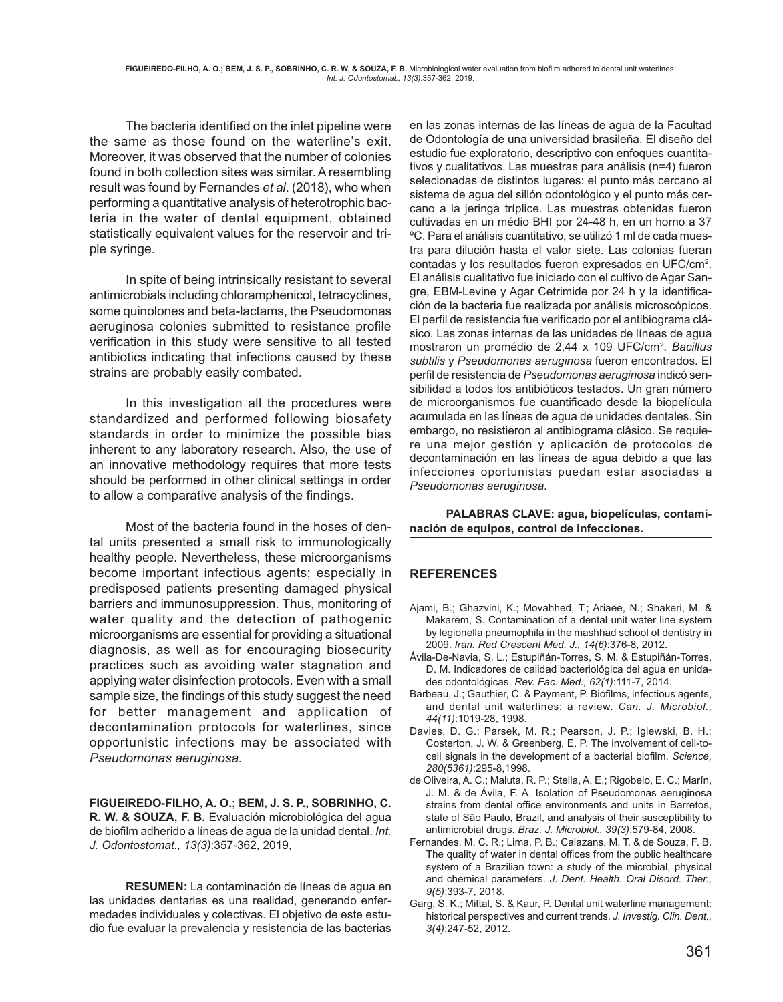The bacteria identified on the inlet pipeline were the same as those found on the waterline's exit. Moreover, it was observed that the number of colonies found in both collection sites was similar. A resembling result was found by Fernandes *et al*. (2018), who when performing a quantitative analysis of heterotrophic bacteria in the water of dental equipment, obtained statistically equivalent values for the reservoir and triple syringe.

In spite of being intrinsically resistant to several antimicrobials including chloramphenicol, tetracyclines, some quinolones and beta-lactams, the Pseudomonas aeruginosa colonies submitted to resistance profile verification in this study were sensitive to all tested antibiotics indicating that infections caused by these strains are probably easily combated.

In this investigation all the procedures were standardized and performed following biosafety standards in order to minimize the possible bias inherent to any laboratory research. Also, the use of an innovative methodology requires that more tests should be performed in other clinical settings in order to allow a comparative analysis of the findings.

Most of the bacteria found in the hoses of dental units presented a small risk to immunologically healthy people. Nevertheless, these microorganisms become important infectious agents; especially in predisposed patients presenting damaged physical barriers and immunosuppression. Thus, monitoring of water quality and the detection of pathogenic microorganisms are essential for providing a situational diagnosis, as well as for encouraging biosecurity practices such as avoiding water stagnation and applying water disinfection protocols. Even with a small sample size, the findings of this study suggest the need for better management and application of decontamination protocols for waterlines, since opportunistic infections may be associated with *Pseudomonas aeruginosa.*

**FIGUEIREDO-FILHO, A. O.; BEM, J. S. P., SOBRINHO, C. R. W. & SOUZA, F. B.** Evaluación microbiológica del agua de biofilm adherido a líneas de agua de la unidad dental. *Int. J. Odontostomat., 13(3)*:357-362, 2019,

**RESUMEN:** La contaminación de líneas de agua en las unidades dentarias es una realidad, generando enfermedades individuales y colectivas. El objetivo de este estudio fue evaluar la prevalencia y resistencia de las bacterias en las zonas internas de las líneas de agua de la Facultad de Odontología de una universidad brasileña. El diseño del estudio fue exploratorio, descriptivo con enfoques cuantitativos y cualitativos. Las muestras para análisis (n=4) fueron selecionadas de distintos lugares: el punto más cercano al sistema de agua del sillón odontológico y el punto más cercano a la jeringa tríplice. Las muestras obtenidas fueron cultivadas en un médio BHI por 24-48 h, en un horno a 37 ºC. Para el análisis cuantitativo, se utilizó 1 ml de cada muestra para dilución hasta el valor siete. Las colonias fueran contadas y los resultados fueron expresados en UFC/cm<sup>2</sup>. El análisis cualitativo fue iniciado con el cultivo de Agar Sangre, EBM-Levine y Agar Cetrimide por 24 h y la identificación de la bacteria fue realizada por análisis microscópicos. El perfil de resistencia fue verificado por el antibiograma clásico. Las zonas internas de las unidades de líneas de agua mostraron un promédio de 2,44 x 109 UFC/cm2 . *Bacillus subtilis* y *Pseudomonas aeruginosa* fueron encontrados. El perfil de resistencia de *Pseudomonas aeruginosa* indicó sensibilidad a todos los antibióticos testados. Un gran número de microorganismos fue cuantificado desde la biopelícula acumulada en las líneas de agua de unidades dentales. Sin embargo, no resistieron al antibiograma clásico. Se requiere una mejor gestión y aplicación de protocolos de decontaminación en las líneas de agua debido a que las infecciones oportunistas puedan estar asociadas a *Pseudomonas aeruginosa*.

**PALABRAS CLAVE: agua, biopelículas, contaminación de equipos, control de infecciones.**

## **REFERENCES**

- Ajami, B.; Ghazvini, K.; Movahhed, T.; Ariaee, N.; Shakeri, M. & Makarem, S. Contamination of a dental unit water line system by legionella pneumophila in the mashhad school of dentistry in 2009. *Iran. Red Crescent Med. J., 14(6)*:376-8, 2012.
- Ávila-De-Navia, S. L.; Estupiñán-Torres, S. M. & Estupiñán-Torres, D. M. Indicadores de calidad bacteriológica del agua en unidades odontológicas. *Rev. Fac. Med., 62(1)*:111-7, 2014.
- Barbeau, J.; Gauthier, C. & Payment, P. Biofilms, infectious agents, and dental unit waterlines: a review. *Can. J. Microbiol., 44(11)*:1019-28, 1998.
- Davies, D. G.; Parsek, M. R.; Pearson, J. P.; Iglewski, B. H.; Costerton, J. W. & Greenberg, E. P. The involvement of cell-tocell signals in the development of a bacterial biofilm. *Science, 280(5361)*:295-8,1998.
- de Oliveira, A. C.; Maluta, R. P.; Stella, A. E.; Rigobelo, E. C.; Marín, J. M. & de Ávila, F. A. Isolation of Pseudomonas aeruginosa strains from dental office environments and units in Barretos, state of São Paulo, Brazil, and analysis of their susceptibility to antimicrobial drugs. *Braz. J. Microbiol., 39(3)*:579-84, 2008.
- Fernandes, M. C. R.; Lima, P. B.; Calazans, M. T. & de Souza, F. B. The quality of water in dental offices from the public healthcare system of a Brazilian town: a study of the microbial, physical and chemical parameters. *J. Dent. Health. Oral Disord. Ther., 9(5)*:393-7, 2018.
- Garg, S. K.; Mittal, S. & Kaur, P. Dental unit waterline management: historical perspectives and current trends. *J. Investig. Clin. Dent., 3(4)*:247-52, 2012.